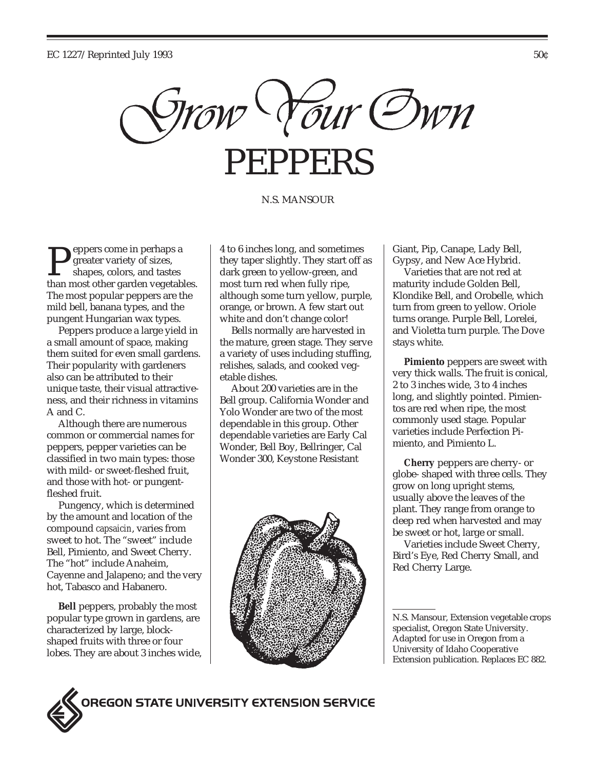

#### N.S. MANSOUR

eppers come in perhaps a greater variety of sizes, shapes, colors, and tastes Peppers come in pernaps a<br>greater variety of sizes,<br>than most other garden vegetables. The most popular peppers are the mild bell, banana types, and the pungent Hungarian wax types.

Peppers produce a large yield in a small amount of space, making them suited for even small gardens. Their popularity with gardeners also can be attributed to their unique taste, their visual attractiveness, and their richness in vitamins A and C.

Although there are numerous common or commercial names for peppers, pepper varieties can be classified in two main types: those with mild- or sweet-fleshed fruit, and those with hot- or pungentfleshed fruit.

Pungency, which is determined by the amount and location of the compound *capsaicin*, varies from sweet to hot. The "sweet" include Bell, Pimiento, and Sweet Cherry. The "hot" include Anaheim, Cayenne and Jalapeno; and the very hot, Tabasco and Habanero.

**Bell** peppers, probably the most popular type grown in gardens, are characterized by large, blockshaped fruits with three or four lobes. They are about 3 inches wide,

4 to 6 inches long, and sometimes they taper slightly. They start off as dark green to yellow-green, and most turn red when fully ripe, although some turn yellow, purple, orange, or brown. A few start out white and don't change color!

Bells normally are harvested in the mature, green stage. They serve a variety of uses including stuffing, relishes, salads, and cooked vegetable dishes.

About 200 varieties are in the Bell group. California Wonder and Yolo Wonder are two of the most dependable in this group. Other dependable varieties are Early Cal Wonder, Bell Boy, Bellringer, Cal Wonder 300, Keystone Resistant



Giant, Pip, Canape, Lady Bell, Gypsy, and New Ace Hybrid.

Varieties that are not red at maturity include Golden Bell, Klondike Bell, and Orobelle, which turn from green to yellow. Oriole turns orange. Purple Bell, Lorelei, and Violetta turn purple. The Dove stays white.

**Pimiento** peppers are sweet with very thick walls. The fruit is conical, 2 to 3 inches wide, 3 to 4 inches long, and slightly pointed. Pimientos are red when ripe, the most commonly used stage. Popular varieties include Perfection Pimiento, and Pimiento L.

**Cherry** peppers are cherry- or globe- shaped with three cells. They grow on long upright stems, usually above the leaves of the plant. They range from orange to deep red when harvested and may be sweet or hot, large or small.

Varieties include Sweet Cherry, Bird's Eye, Red Cherry Small, and Red Cherry Large.



DREGON STATE UNIVERSITY EXTENSION SERVICE

N.S. Mansour, Extension vegetable crops specialist, Oregon State University. Adapted for use in Oregon from a University of Idaho Cooperative Extension publication. Replaces EC 882.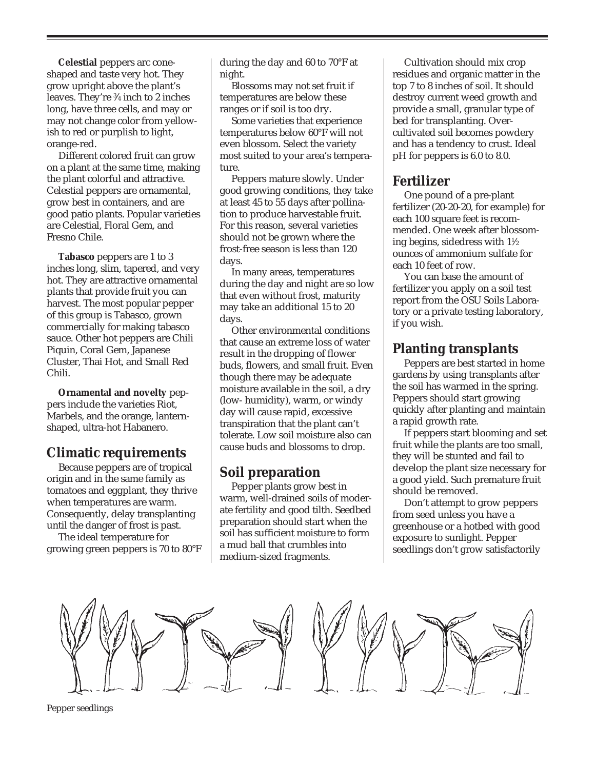**Celestial** peppers arc coneshaped and taste very hot. They grow upright above the plant's leaves. They're 3 ⁄4 inch to 2 inches long, have three cells, and may or may not change color from yellowish to red or purplish to light, orange-red.

Different colored fruit can grow on a plant at the same time, making the plant colorful and attractive. Celestial peppers are ornamental, grow best in containers, and are good patio plants. Popular varieties are Celestial, Floral Gem, and Fresno Chile.

**Tabasco** peppers are 1 to 3 inches long, slim, tapered, and very hot. They are attractive ornamental plants that provide fruit you can harvest. The most popular pepper of this group is Tabasco, grown commercially for making tabasco sauce. Other hot peppers are Chili Piquin, Coral Gem, Japanese Cluster, Thai Hot, and Small Red Chili.

**Ornamental and novelty** peppers include the varieties Riot, Marbels, and the orange, lanternshaped, ultra-hot Habanero.

### **Climatic requirements**

Because peppers are of tropical origin and in the same family as tomatoes and eggplant, they thrive when temperatures are warm. Consequently, delay transplanting until the danger of frost is past.

The ideal temperature for growing green peppers is 70 to 80°F during the day and 60 to 70°F at night.

Blossoms may not set fruit if temperatures are below these ranges or if soil is too dry.

Some varieties that experience temperatures below 60°F will not even blossom. Select the variety most suited to your area's temperature.

Peppers mature slowly. Under good growing conditions, they take at least 45 to 55 days after pollination to produce harvestable fruit. For this reason, several varieties should not be grown where the frost-free season is less than 120 days.

In many areas, temperatures during the day and night are so low that even without frost, maturity may take an additional 15 to 20 days.

Other environmental conditions that cause an extreme loss of water result in the dropping of flower buds, flowers, and small fruit. Even though there may be adequate moisture available in the soil, a dry (low- humidity), warm, or windy day will cause rapid, excessive transpiration that the plant can't tolerate. Low soil moisture also can cause buds and blossoms to drop.

## **Soil preparation**

Pepper plants grow best in warm, well-drained soils of moderate fertility and good tilth. Seedbed preparation should start when the soil has sufficient moisture to form a mud ball that crumbles into medium-sized fragments.

Cultivation should mix crop residues and organic matter in the top 7 to 8 inches of soil. It should destroy current weed growth and provide a small, granular type of bed for transplanting. Overcultivated soil becomes powdery and has a tendency to crust. Ideal pH for peppers is 6.0 to 8.0.

# **Fertilizer**

One pound of a pre-plant fertilizer (20-20-20, for example) for each 100 square feet is recommended. One week after blossoming begins, sidedress with  $1\%$ ounces of ammonium sulfate for each 10 feet of row.

You can base the amount of fertilizer you apply on a soil test report from the OSU Soils Laboratory or a private testing laboratory, if you wish.

# **Planting transplants**

Peppers are best started in home gardens by using transplants after the soil has warmed in the spring. Peppers should start growing quickly after planting and maintain a rapid growth rate.

If peppers start blooming and set fruit while the plants are too small, they will be stunted and fail to develop the plant size necessary for a good yield. Such premature fruit should be removed.

Don't attempt to grow peppers from seed unless you have a greenhouse or a hotbed with good exposure to sunlight. Pepper seedlings don't grow satisfactorily



Pepper seedlings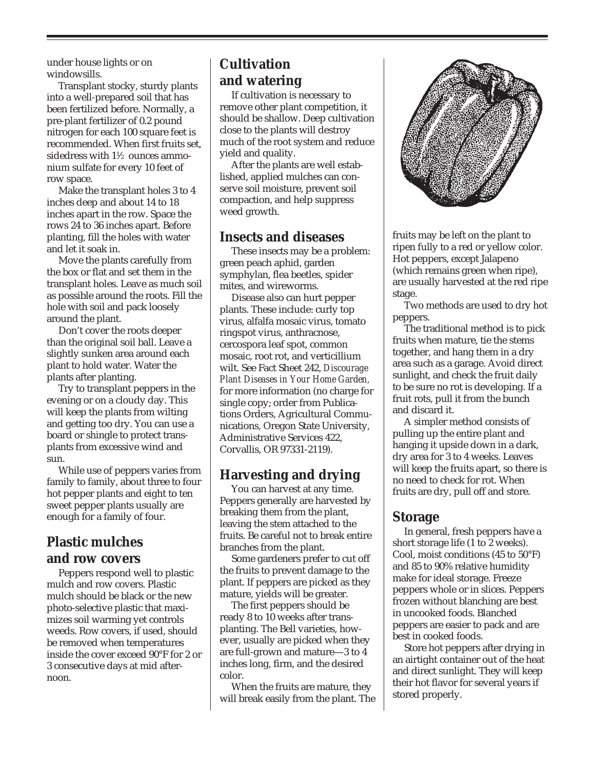under house lights or on windowsills.

Transplant stocky, sturdy plants into a well-prepared soil that has been fertilized before. Normally, a pre-plant fertilizer of 0.2 pound nitrogen for each 100 square feet is recommended. When first fruits set, sidedress with  $1\frac{1}{2}$  ounces ammonium sulfate for every 10 feet of row space.

Make the transplant holes 3 to 4 inches deep and about 14 to 18 inches apart in the row. Space the rows 24 to 36 inches apart. Before planting, fill the holes with water and let it soak in.

Move the plants carefully from the box or flat and set them in the transplant holes. Leave as much soil as possible around the roots. Fill the hole with soil and pack loosely around the plant.

Don't cover the roots deeper than the original soil ball. Leave a slightly sunken area around each plant to hold water. Water the plants after planting.

Try to transplant peppers in the evening or on a cloudy day. This will keep the plants from wilting and getting too dry. You can use a board or shingle to protect transplants from excessive wind and sun.

While use of peppers varies from family to family, about three to four hot pepper plants and eight to ten sweet pepper plants usually are enough for a family of four.

# **Plastic mulches and row covers**

Peppers respond well to plastic mulch and row covers. Plastic mulch should be black or the new photo-selective plastic that maximizes soil warming yet controls weeds. Row covers, if used, should be removed when temperatures inside the cover exceed 90°F for 2 or 3 consecutive days at mid afternoon.

# **Cultivation and watering**

If cultivation is necessary to remove other plant competition, it should be shallow. Deep cultivation close to the plants will destroy much of the root system and reduce yield and quality.

After the plants are well established, applied mulches can conserve soil moisture, prevent soil compaction, and help suppress weed growth.

## **Insects and diseases**

These insects may be a problem: green peach aphid, garden symphylan, flea beetles, spider mites, and wireworms.

Disease also can hurt pepper plants. These include: curly top virus, alfalfa mosaic virus, tomato ringspot virus, anthracnose, cercospora leaf spot, common mosaic, root rot, and verticillium wilt. See Fact Sheet 242, *Discourage Plant Diseases in Your Home Garden,* for more information (no charge for single copy; order from Publications Orders, Agricultural Communications, Oregon State University, Administrative Services 422, Corvallis, OR 97331-2119).

# **Harvesting and drying**

You can harvest at any time. Peppers generally are harvested by breaking them from the plant, leaving the stem attached to the fruits. Be careful not to break entire branches from the plant.

Some gardeners prefer to cut off the fruits to prevent damage to the plant. If peppers are picked as they mature, yields will be greater.

The first peppers should be ready 8 to 10 weeks after transplanting. The Bell varieties, however, usually are picked when they are full-grown and mature—3 to 4 inches long, firm, and the desired color.

When the fruits are mature, they will break easily from the plant. The



fruits may be left on the plant to ripen fully to a red or yellow color. Hot peppers, except Jalapeno (which remains green when ripe), are usually harvested at the red ripe stage.

Two methods are used to dry hot peppers.

The traditional method is to pick fruits when mature, tie the stems together, and hang them in a dry area such as a garage. Avoid direct sunlight, and check the fruit daily to be sure no rot is developing. If a fruit rots, pull it from the bunch and discard it.

A simpler method consists of pulling up the entire plant and hanging it upside down in a dark, dry area for 3 to 4 weeks. Leaves will keep the fruits apart, so there is no need to check for rot. When fruits are dry, pull off and store.

### **Storage**

In general, fresh peppers have a short storage life (1 to 2 weeks). Cool, moist conditions (45 to 50°F) and 85 to 90% relative humidity make for ideal storage. Freeze peppers whole or in slices. Peppers frozen without blanching are best in uncooked foods. Blanched peppers are easier to pack and are best in cooked foods.

Store hot peppers after drying in an airtight container out of the heat and direct sunlight. They will keep their hot flavor for several years if stored properly.